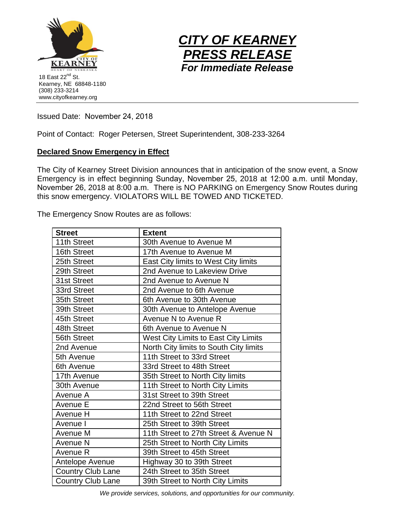



Issued Date: November 24, 2018

Point of Contact: Roger Petersen, Street Superintendent, 308-233-3264

## **Declared Snow Emergency in Effect**

The City of Kearney Street Division announces that in anticipation of the snow event, a Snow Emergency is in effect beginning Sunday, November 25, 2018 at 12:00 a.m. until Monday, November 26, 2018 at 8:00 a.m. There is NO PARKING on Emergency Snow Routes during this snow emergency. VIOLATORS WILL BE TOWED AND TICKETED.

The Emergency Snow Routes are as follows:

| <b>Street</b>            | <b>Extent</b>                          |
|--------------------------|----------------------------------------|
| 11th Street              | 30th Avenue to Avenue M                |
| 16th Street              | 17th Avenue to Avenue M                |
| 25th Street              | East City limits to West City limits   |
| 29th Street              | 2nd Avenue to Lakeview Drive           |
| 31st Street              | 2nd Avenue to Avenue N                 |
| 33rd Street              | 2nd Avenue to 6th Avenue               |
| 35th Street              | 6th Avenue to 30th Avenue              |
| 39th Street              | 30th Avenue to Antelope Avenue         |
| 45th Street              | Avenue N to Avenue R                   |
| 48th Street              | 6th Avenue to Avenue N                 |
| 56th Street              | West City Limits to East City Limits   |
| 2nd Avenue               | North City limits to South City limits |
| 5th Avenue               | 11th Street to 33rd Street             |
| 6th Avenue               | 33rd Street to 48th Street             |
| 17th Avenue              | 35th Street to North City limits       |
| 30th Avenue              | 11th Street to North City Limits       |
| Avenue A                 | 31st Street to 39th Street             |
| Avenue E                 | 22nd Street to 56th Street             |
| Avenue H                 | 11th Street to 22nd Street             |
| Avenue I                 | 25th Street to 39th Street             |
| Avenue M                 | 11th Street to 27th Street & Avenue N  |
| Avenue N                 | 25th Street to North City Limits       |
| Avenue R                 | 39th Street to 45th Street             |
| Antelope Avenue          | Highway 30 to 39th Street              |
| <b>Country Club Lane</b> | 24th Street to 35th Street             |
| <b>Country Club Lane</b> | 39th Street to North City Limits       |

*We provide services, solutions, and opportunities for our community.*